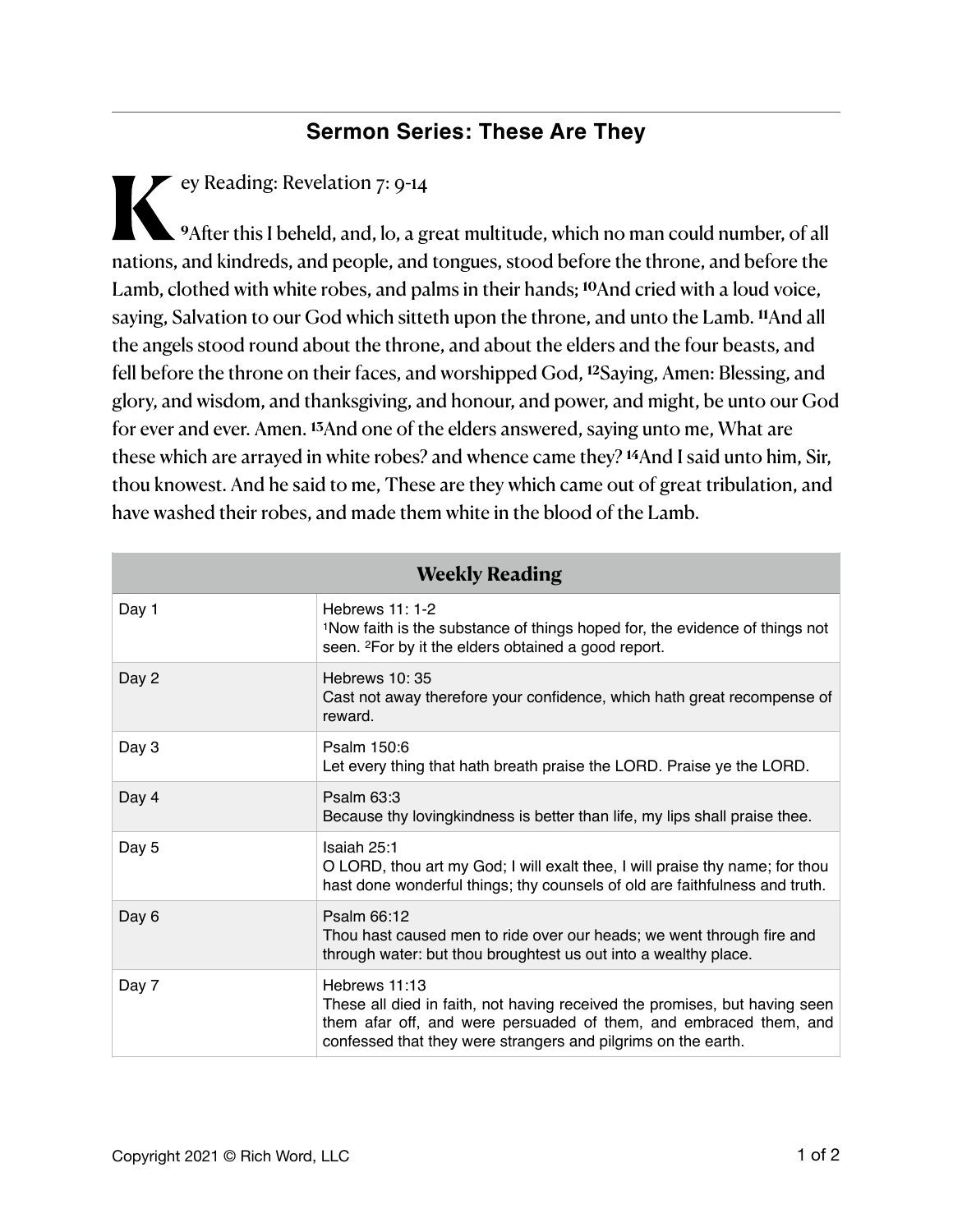## **Sermon Series: These Are They**

**K**ey Reading: Revelation 7: 9-14 **<sup>9</sup>**Afer this I beheld, and, lo, a great multitude, which no man could number, of all nations, and kindreds, and people, and tongues, stood before the throne, and before the Lamb, clothed with white robes, and palms in their hands; **10**And cried with a loud voice, saying, Salvation to our God which sitteth upon the throne, and unto the Lamb. **11**And all the angels stood round about the throne, and about the elders and the four beasts, and fell before the throne on their faces, and worshipped God, **12**Saying, Amen: Blessing, and glory, and wisdom, and thanksgiving, and honour, and power, and might, be unto our God for ever and ever. Amen. **13**And one of the elders answered, saying unto me, What are these which are arrayed in white robes? and whence came they? **14**And I said unto him, Sir, thou knowest. And he said to me, These are they which came out of great tribulation, and have washed their robes, and made them white in the blood of the Lamb.

| <b>Weekly Reading</b> |                                                                                                                                                                                                                                   |
|-----------------------|-----------------------------------------------------------------------------------------------------------------------------------------------------------------------------------------------------------------------------------|
| Day 1                 | Hebrews $11:1-2$<br><sup>1</sup> Now faith is the substance of things hoped for, the evidence of things not<br>seen. <sup>2</sup> For by it the elders obtained a good report.                                                    |
| Day 2                 | Hebrews $10:35$<br>Cast not away therefore your confidence, which hath great recompense of<br>reward.                                                                                                                             |
| Day 3                 | Psalm 150:6<br>Let every thing that hath breath praise the LORD. Praise ye the LORD.                                                                                                                                              |
| Day 4                 | Psalm $63:3$<br>Because thy lovingkindness is better than life, my lips shall praise thee.                                                                                                                                        |
| Day 5                 | Isaiah 25:1<br>O LORD, thou art my God; I will exalt thee, I will praise thy name; for thou<br>hast done wonderful things; thy counsels of old are faithfulness and truth.                                                        |
| Day 6                 | Psalm 66:12<br>Thou hast caused men to ride over our heads; we went through fire and<br>through water: but thou broughtest us out into a wealthy place.                                                                           |
| Day 7                 | Hebrews 11:13<br>These all died in faith, not having received the promises, but having seen<br>them afar off, and were persuaded of them, and embraced them, and<br>confessed that they were strangers and pilgrims on the earth. |